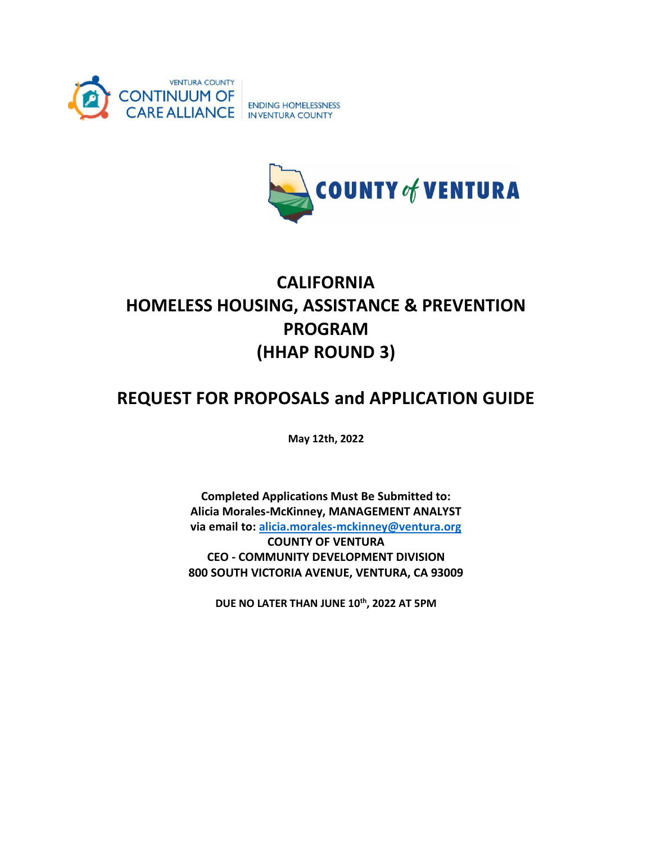



# **CALIFORNIA HOMELESS HOUSING, ASSISTANCE & PREVENTION PROGRAM (HHAP ROUND 3)**

## **REQUEST FOR PROPOSALS and APPLICATION GUIDE**

**May 12th, 2022**

**Completed Applications Must Be Submitted to: Alicia Morales-McKinney, MANAGEMENT ANALYST via email to: [alicia.morales-mckinney@ventura.org](mailto:alicia.morales-mckinney@ventura.org) COUNTY OF VENTURA CEO - COMMUNITY DEVELOPMENT DIVISION 800 SOUTH VICTORIA AVENUE, VENTURA, CA 93009** 

**DUE NO LATER THAN JUNE 10 th, 2022 AT 5PM**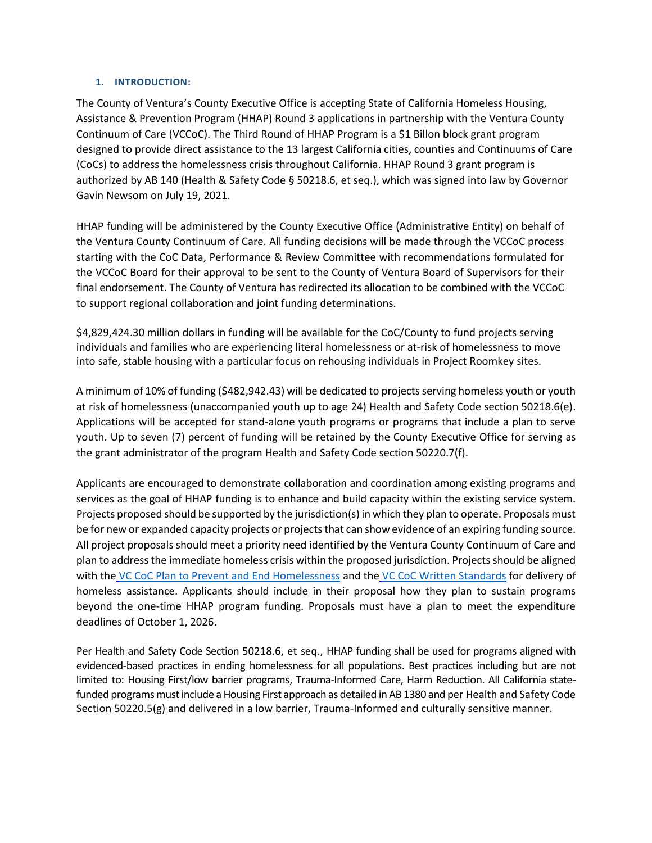#### **1. INTRODUCTION:**

The County of Ventura's County Executive Office is accepting State of California Homeless Housing, Assistance & Prevention Program (HHAP) Round 3 applications in partnership with the Ventura County Continuum of Care (VCCoC). The Third Round of HHAP Program is a \$1 Billon block grant program designed to provide direct assistance to the 13 largest California cities, counties and Continuums of Care (CoCs) to address the homelessness crisis throughout California. HHAP Round 3 grant program is authorized by AB 140 (Health & Safety Code § 50218.6, et seq.), which was signed into law by Governor Gavin Newsom on July 19, 2021.

HHAP funding will be administered by the County Executive Office (Administrative Entity) on behalf of the Ventura County Continuum of Care. All funding decisions will be made through the VCCoC process starting with the CoC Data, Performance & Review Committee with recommendations formulated for the VCCoC Board for their approval to be sent to the County of Ventura Board of Supervisors for their final endorsement. The County of Ventura has redirected its allocation to be combined with the VCCoC to support regional collaboration and joint funding determinations.

\$4,829,424.30 million dollars in funding will be available for the CoC/County to fund projects serving individuals and families who are experiencing literal homelessness or at-risk of homelessness to move into safe, stable housing with a particular focus on rehousing individuals in Project Roomkey sites.

A minimum of 10% of funding (\$482,942.43) will be dedicated to projects serving homeless youth or youth at risk of homelessness (unaccompanied youth up to age 24) Health and Safety Code section 50218.6(e). Applications will be accepted for stand-alone youth programs or programs that include a plan to serve youth. Up to seven (7) percent of funding will be retained by the County Executive Office for serving as the grant administrator of the program Health and Safety Code section 50220.7(f).

Applicants are encouraged to demonstrate collaboration and coordination among existing programs and services as the goal of HHAP funding is to enhance and build capacity within the existing service system. Projects proposed should be supported by the jurisdiction(s) in which they plan to operate. Proposals must be for new or expanded capacity projects or projects that can show evidence of an expiring funding source. All project proposals should meet a priority need identified by the Ventura County Continuum of Care and plan to address the immediate homeless crisis within the proposed jurisdiction. Projects should be aligned with the [VC CoC Plan to Prevent and End Homelessness](https://s33020.pcdn.co/wp-content/uploads/2020/02/Final_VC_Homelessness_Plan_1.9.19-1.pdf) and the [VC CoC Written Standards](https://s33020.pcdn.co/wp-content/uploads/2021/08/VC-CoC-Policies-and-Procedures_Updated-2020.pdf) for delivery of homeless assistance. Applicants should include in their proposal how they plan to sustain programs beyond the one-time HHAP program funding. Proposals must have a plan to meet the expenditure deadlines of October 1, 2026.

Per Health and Safety Code Section 50218.6, et seq., HHAP funding shall be used for programs aligned with evidenced-based practices in ending homelessness for all populations. Best practices including but are not limited to: Housing First/low barrier programs, Trauma-Informed Care, Harm Reduction. All California statefunded programs must include a Housing First approach as detailed in AB 1380 and per Health and Safety Code Section 50220.5(g) and delivered in a low barrier, Trauma-Informed and culturally sensitive manner.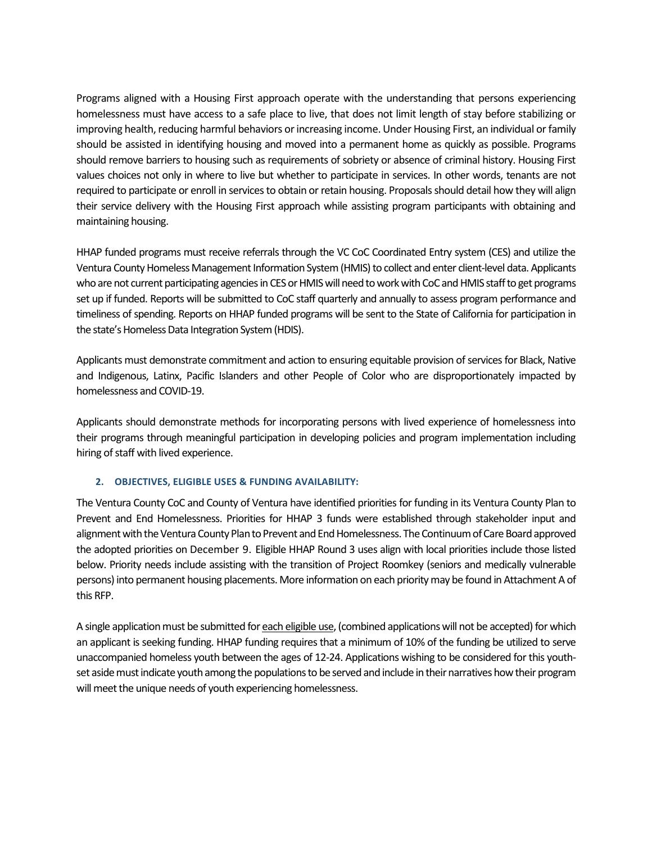Programs aligned with a Housing First approach operate with the understanding that persons experiencing homelessness must have access to a safe place to live, that does not limit length of stay before stabilizing or improving health, reducing harmful behaviors or increasing income. Under Housing First, an individual or family should be assisted in identifying housing and moved into a permanent home as quickly as possible. Programs should remove barriers to housing such as requirements of sobriety or absence of criminal history. Housing First values choices not only in where to live but whether to participate in services. In other words, tenants are not required to participate or enroll in services to obtain or retain housing. Proposals should detail how they will align their service delivery with the Housing First approach while assisting program participants with obtaining and maintaining housing.

HHAP funded programs must receive referrals through the VC CoC Coordinated Entry system (CES) and utilize the Ventura County Homeless Management Information System (HMIS) to collect and enter client-level data. Applicants who are not current participating agencies in CES or HMIS will need to work with CoC and HMIS staff to get programs set up if funded. Reports will be submitted to CoC staff quarterly and annually to assess program performance and timeliness of spending. Reports on HHAP funded programs will be sent to the State of California for participation in the state's Homeless Data Integration System (HDIS).

Applicants must demonstrate commitment and action to ensuring equitable provision of services for Black, Native and Indigenous, Latinx, Pacific Islanders and other People of Color who are disproportionately impacted by homelessness and COVID-19.

Applicants should demonstrate methods for incorporating persons with lived experience of homelessness into their programs through meaningful participation in developing policies and program implementation including hiring of staff with lived experience.

#### **2. OBJECTIVES, ELIGIBLE USES & FUNDING AVAILABILITY:**

The Ventura County CoC and County of Ventura have identified priorities for funding in its Ventura County Plan to Prevent and End Homelessness. Priorities for HHAP 3 funds were established through stakeholder input and alignment with the Ventura County Plan to Prevent and End Homelessness. The Continuum of Care Board approved the adopted priorities on December 9. Eligible HHAP Round 3 uses align with local priorities include those listed below. Priority needs include assisting with the transition of Project Roomkey (seniors and medically vulnerable persons) into permanent housing placements. More information on each priority may be found in Attachment A of this RFP.

A single application must be submitted for each eligible use, (combined applications will not be accepted) for which an applicant is seeking funding. HHAP funding requires that a minimum of 10% of the funding be utilized to serve unaccompanied homeless youth between the ages of 12-24. Applications wishing to be considered for this youthset aside must indicate youth among the populations to be served and include in their narratives how their program will meet the unique needs of youth experiencing homelessness.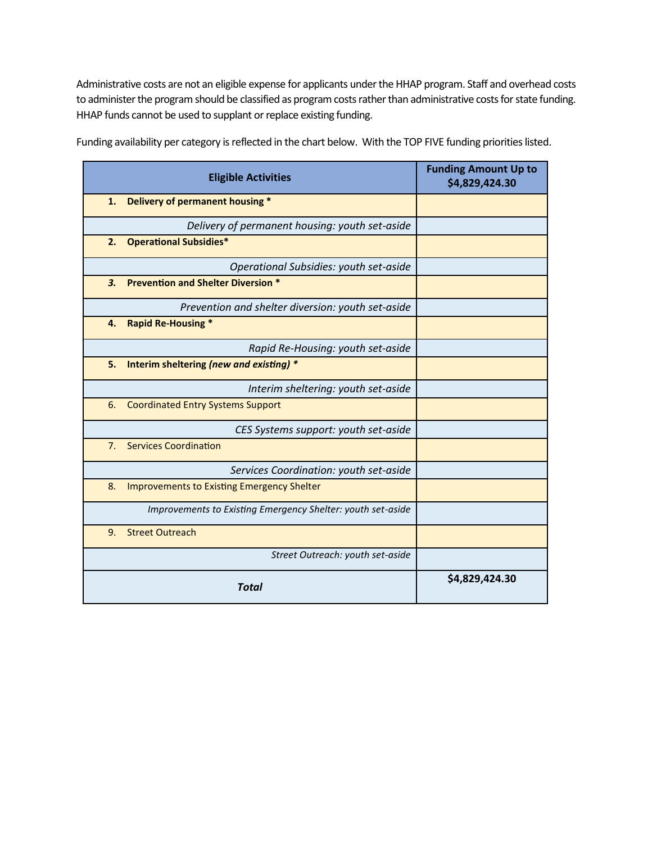Administrative costs are not an eligible expense for applicants under the HHAP program. Staff and overhead costs to administer the program should be classified as program costs rather than administrative costs for state funding. HHAP funds cannot be used to supplant or replace existing funding.

| <b>Eligible Activities</b>                                  | <b>Funding Amount Up to</b><br>\$4,829,424.30 |
|-------------------------------------------------------------|-----------------------------------------------|
| Delivery of permanent housing *<br>1.                       |                                               |
| Delivery of permanent housing: youth set-aside              |                                               |
| <b>Operational Subsidies*</b><br>2.                         |                                               |
| Operational Subsidies: youth set-aside                      |                                               |
| <b>Prevention and Shelter Diversion *</b><br>3.             |                                               |
| Prevention and shelter diversion: youth set-aside           |                                               |
| <b>Rapid Re-Housing *</b><br>4.                             |                                               |
| Rapid Re-Housing: youth set-aside                           |                                               |
| Interim sheltering (new and existing) *<br>5.               |                                               |
| Interim sheltering: youth set-aside                         |                                               |
| <b>Coordinated Entry Systems Support</b><br>6.              |                                               |
| CES Systems support: youth set-aside                        |                                               |
| <b>Services Coordination</b><br>7 <sub>1</sub>              |                                               |
| Services Coordination: youth set-aside                      |                                               |
| <b>Improvements to Existing Emergency Shelter</b><br>8.     |                                               |
| Improvements to Existing Emergency Shelter: youth set-aside |                                               |
| <b>Street Outreach</b><br>9.                                |                                               |
| Street Outreach: youth set-aside                            |                                               |
| <b>Total</b>                                                | \$4,829,424.30                                |

Funding availability per category is reflected in the chart below. With the TOP FIVE funding priorities listed.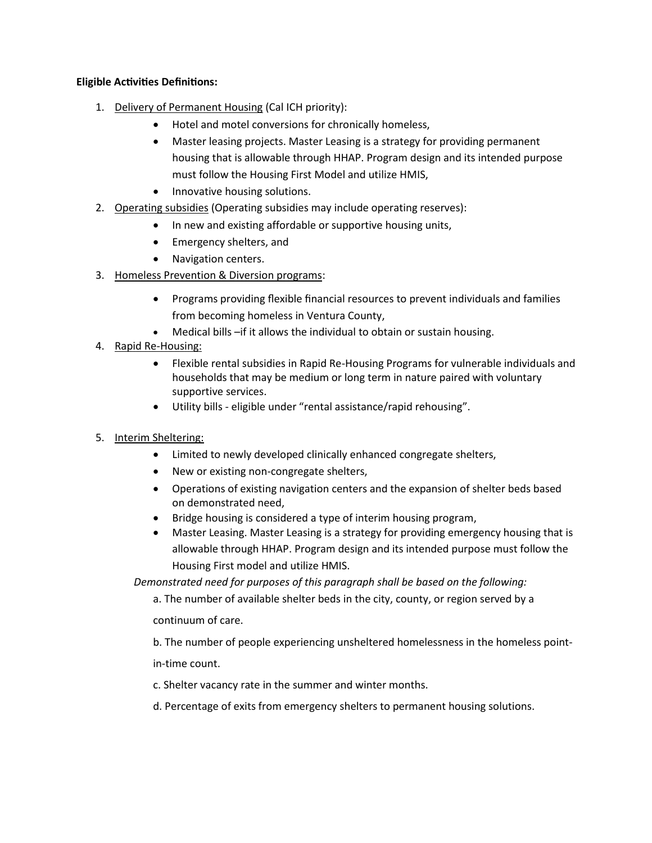## **Eligible Activities Definitions:**

- 1. Delivery of Permanent Housing (Cal ICH priority):
	- Hotel and motel conversions for chronically homeless,
	- Master leasing projects. Master Leasing is a strategy for providing permanent housing that is allowable through HHAP. Program design and its intended purpose must follow the Housing First Model and utilize HMIS,
	- Innovative housing solutions.
- 2. Operating subsidies (Operating subsidies may include operating reserves):
	- In new and existing affordable or supportive housing units,
	- Emergency shelters, and
	- Navigation centers.
- 3. Homeless Prevention & Diversion programs:
	- Programs providing flexible financial resources to prevent individuals and families from becoming homeless in Ventura County,
	- Medical bills –if it allows the individual to obtain or sustain housing.
- 4. Rapid Re-Housing:
	- Flexible rental subsidies in Rapid Re-Housing Programs for vulnerable individuals and households that may be medium or long term in nature paired with voluntary supportive services.
	- Utility bills eligible under "rental assistance/rapid rehousing".
- 5. Interim Sheltering:
	- Limited to newly developed clinically enhanced congregate shelters,
	- New or existing non-congregate shelters,
	- Operations of existing navigation centers and the expansion of shelter beds based on demonstrated need,
	- Bridge housing is considered a type of interim housing program,
	- Master Leasing. Master Leasing is a strategy for providing emergency housing that is allowable through HHAP. Program design and its intended purpose must follow the Housing First model and utilize HMIS.

*Demonstrated need for purposes of this paragraph shall be based on the following:*

a. The number of available shelter beds in the city, county, or region served by a

continuum of care.

b. The number of people experiencing unsheltered homelessness in the homeless pointin-time count.

c. Shelter vacancy rate in the summer and winter months.

d. Percentage of exits from emergency shelters to permanent housing solutions.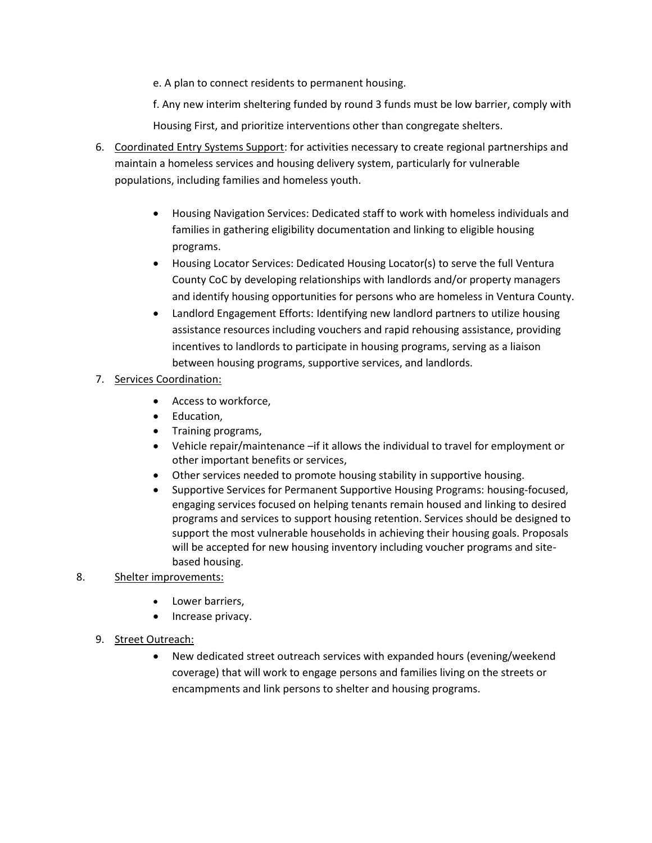e. A plan to connect residents to permanent housing.

f. Any new interim sheltering funded by round 3 funds must be low barrier, comply with

Housing First, and prioritize interventions other than congregate shelters.

- 6. Coordinated Entry Systems Support: for activities necessary to create regional partnerships and maintain a homeless services and housing delivery system, particularly for vulnerable populations, including families and homeless youth.
	- Housing Navigation Services: Dedicated staff to work with homeless individuals and families in gathering eligibility documentation and linking to eligible housing programs.
	- Housing Locator Services: Dedicated Housing Locator(s) to serve the full Ventura County CoC by developing relationships with landlords and/or property managers and identify housing opportunities for persons who are homeless in Ventura County.
	- Landlord Engagement Efforts: Identifying new landlord partners to utilize housing assistance resources including vouchers and rapid rehousing assistance, providing incentives to landlords to participate in housing programs, serving as a liaison between housing programs, supportive services, and landlords.
- 7. Services Coordination:
	- Access to workforce,
	- Education,
	- Training programs,
	- Vehicle repair/maintenance –if it allows the individual to travel for employment or other important benefits or services,
	- Other services needed to promote housing stability in supportive housing.
	- Supportive Services for Permanent Supportive Housing Programs: housing-focused, engaging services focused on helping tenants remain housed and linking to desired programs and services to support housing retention. Services should be designed to support the most vulnerable households in achieving their housing goals. Proposals will be accepted for new housing inventory including voucher programs and sitebased housing.

## 8. Shelter improvements:

- Lower barriers,
- Increase privacy.
- 9. Street Outreach:
	- New dedicated street outreach services with expanded hours (evening/weekend coverage) that will work to engage persons and families living on the streets or encampments and link persons to shelter and housing programs.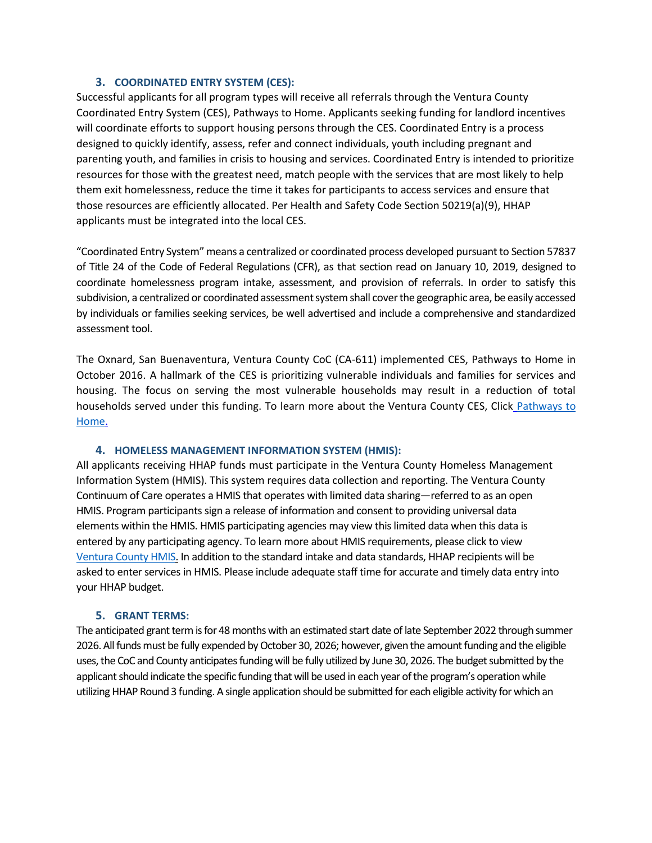#### **3. COORDINATED ENTRY SYSTEM (CES):**

Successful applicants for all program types will receive all referrals through the Ventura County Coordinated Entry System (CES), Pathways to Home. Applicants seeking funding for landlord incentives will coordinate efforts to support housing persons through the CES. Coordinated Entry is a process designed to quickly identify, assess, refer and connect individuals, youth including pregnant and parenting youth, and families in crisis to housing and services. Coordinated Entry is intended to prioritize resources for those with the greatest need, match people with the services that are most likely to help them exit homelessness, reduce the time it takes for participants to access services and ensure that those resources are efficiently allocated. Per Health and Safety Code Section 50219(a)(9), HHAP applicants must be integrated into the local CES.

"Coordinated Entry System" means a centralized or coordinated process developed pursuant to Section 57837 of Title 24 of the Code of Federal Regulations (CFR), as that section read on January 10, 2019, designed to coordinate homelessness program intake, assessment, and provision of referrals. In order to satisfy this subdivision, a centralized or coordinated assessment system shall cover the geographic area, be easily accessed by individuals or families seeking services, be well advertised and include a comprehensive and standardized assessment tool.

The Oxnard, San Buenaventura, Ventura County CoC (CA-611) implemented CES, Pathways to Home in October 2016. A hallmark of the CES is prioritizing vulnerable individuals and families for services and housing. The focus on serving the most vulnerable households may result in a reduction of total households served under this funding. To learn more about the Ventura County CES, Click [Pathways to](https://www.venturacoc.org/pathways-to-home/)  [Home.](https://www.venturacoc.org/pathways-to-home/)

#### **4. HOMELESS MANAGEMENT INFORMATION SYSTEM (HMIS):**

All applicants receiving HHAP funds must participate in the Ventura County Homeless Management Information System (HMIS). This system requires data collection and reporting. The Ventura County Continuum of Care operates a HMIS that operates with limited data sharing—referred to as an open HMIS. Program participants sign a release of information and consent to providing universal data elements within the HMIS. HMIS participating agencies may view this limited data when this data is entered by any participating agency. To learn more about HMIS requirements, please click to view [Ventura County HMIS.](https://www.venturacoc.org/homeless-management-information-system-hmis/) In addition to the standard intake and data standards, HHAP recipients will be asked to enter services in HMIS. Please include adequate staff time for accurate and timely data entry into your HHAP budget.

#### **5. GRANT TERMS:**

The anticipated grant term is for 48 months with an estimated start date of late September 2022 through summer 2026. All funds must be fully expended by October 30, 2026; however, given the amount funding and the eligible uses, the CoC and County anticipates funding will be fully utilized by June 30, 2026. The budget submitted by the applicant should indicate the specific funding that will be used in each year of the program's operation while utilizing HHAP Round 3 funding. A single application should be submitted for each eligible activity for which an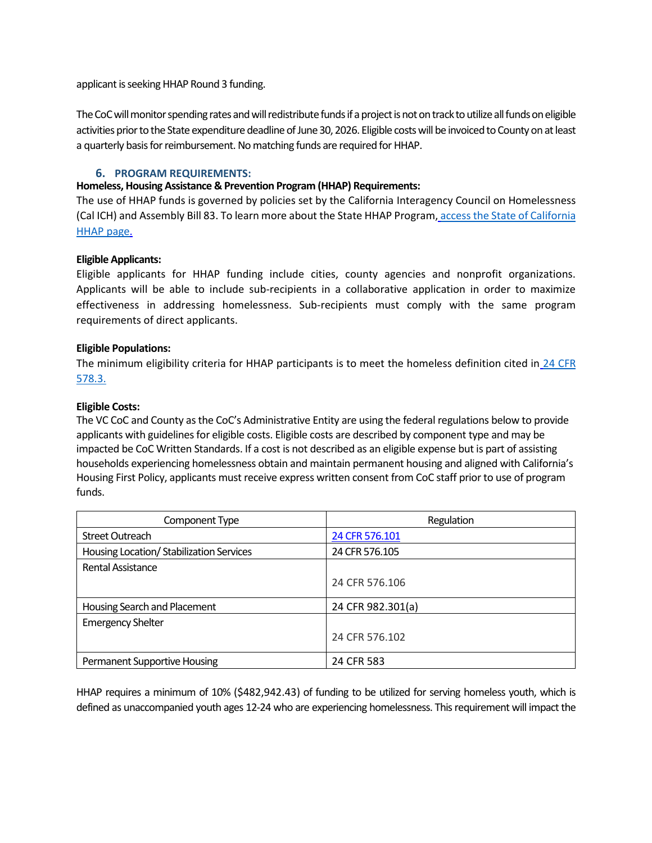applicant is seeking HHAP Round 3 funding.

The CoC will monitor spending rates and will redistribute funds if a project is not ontrack to utilize all funds on eligible activities prior to the State expenditure deadline of June 30, 2026. Eligible costs will be invoiced to County on at least a quarterly basis for reimbursement. No matching funds are required for HHAP.

#### **6. PROGRAM REQUIREMENTS:**

#### **Homeless, Housing Assistance & Prevention Program (HHAP) Requirements:**

The use of HHAP funds is governed by policies set by the California Interagency Council on Homelessness (Cal ICH) and Assembly Bill 83. To learn more about the State HHAP Program, [access the State of California](https://bcsh.ca.gov/calich/hhap_program.html)  [HHAP page.](https://bcsh.ca.gov/calich/hhap_program.html)

#### **Eligible Applicants:**

Eligible applicants for HHAP funding include cities, county agencies and nonprofit organizations. Applicants will be able to include sub-recipients in a collaborative application in order to maximize effectiveness in addressing homelessness. Sub-recipients must comply with the same program requirements of direct applicants.

#### **Eligible Populations:**

The minimum eligibility criteria for HHAP participants is to meet the homeless definition cited in 24 CFR [578.3.](https://www.govinfo.gov/content/pkg/CFR-2017-title24-vol3/xml/CFR-2017-title24-vol3-part578.xml#seqnum578.3)

#### **Eligible Costs:**

The VC CoC and County as the CoC's Administrative Entity are using the federal regulations below to provide applicants with guidelines for eligible costs. Eligible costs are described by component type and may be impacted be CoC Written Standards. If a cost is not described as an eligible expense but is part of assisting households experiencing homelessness obtain and maintain permanent housing and aligned with California's Housing First Policy, applicants must receive express written consent from CoC staff prior to use of program funds.

| Component Type                           | Regulation        |
|------------------------------------------|-------------------|
| <b>Street Outreach</b>                   | 24 CFR 576.101    |
| Housing Location/ Stabilization Services | 24 CFR 576.105    |
| Rental Assistance                        |                   |
|                                          | 24 CFR 576.106    |
| Housing Search and Placement             | 24 CFR 982.301(a) |
| <b>Emergency Shelter</b>                 |                   |
|                                          | 24 CFR 576.102    |
| <b>Permanent Supportive Housing</b>      | 24 CFR 583        |

HHAP requires a minimum of 10% (\$482,942.43) of funding to be utilized for serving homeless youth, which is defined as unaccompanied youth ages 12-24 who are experiencing homelessness. This requirement will impact the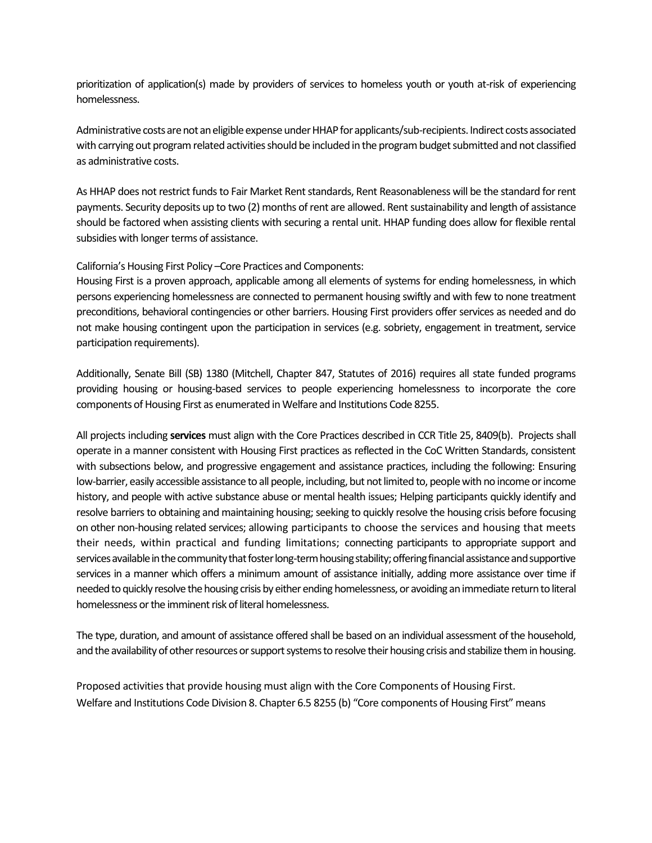prioritization of application(s) made by providers of services to homeless youth or youth at-risk of experiencing homelessness.

Administrative costs are not an eligible expense under HHAP for applicants/sub-recipients. Indirect costs associated with carrying out program related activities should be included in the program budget submitted and not classified as administrative costs.

As HHAP does not restrict funds to Fair Market Rent standards, Rent Reasonableness will be the standard for rent payments. Security deposits up to two (2) months of rent are allowed. Rent sustainability and length of assistance should be factored when assisting clients with securing a rental unit. HHAP funding does allow for flexible rental subsidies with longer terms of assistance.

California's Housing First Policy –Core Practices and Components:

Housing First is a proven approach, applicable among all elements of systems for ending homelessness, in which persons experiencing homelessness are connected to permanent housing swiftly and with few to none treatment preconditions, behavioral contingencies or other barriers. Housing First providers offer services as needed and do not make housing contingent upon the participation in services (e.g. sobriety, engagement in treatment, service participation requirements).

Additionally, Senate Bill (SB) 1380 (Mitchell, Chapter 847, Statutes of 2016) requires all state funded programs providing housing or housing-based services to people experiencing homelessness to incorporate the core components of Housing First as enumerated in Welfare and Institutions Code 8255.

All projects including **services** must align with the Core Practices described in CCR Title 25, 8409(b). Projects shall operate in a manner consistent with Housing First practices as reflected in the CoC Written Standards, consistent with subsections below, and progressive engagement and assistance practices, including the following: Ensuring low-barrier, easily accessible assistance to all people, including, but not limited to, people with no income or income history, and people with active substance abuse or mental health issues; Helping participants quickly identify and resolve barriers to obtaining and maintaining housing; seeking to quickly resolve the housing crisis before focusing on other non-housing related services; allowing participants to choose the services and housing that meets their needs, within practical and funding limitations; connecting participants to appropriate support and services available in the community that foster long-term housing stability; offering financial assistance and supportive services in a manner which offers a minimum amount of assistance initially, adding more assistance over time if needed to quickly resolve the housing crisis by either ending homelessness, or avoiding an immediate return to literal homelessness or the imminent risk of literal homelessness.

The type, duration, and amount of assistance offered shall be based on an individual assessment of the household, and the availability of other resources or support systems to resolve their housing crisis and stabilize them in housing.

Proposed activities that provide housing must align with the Core Components of Housing First. Welfare and Institutions Code Division 8. Chapter 6.5 8255 (b) "Core components of Housing First" means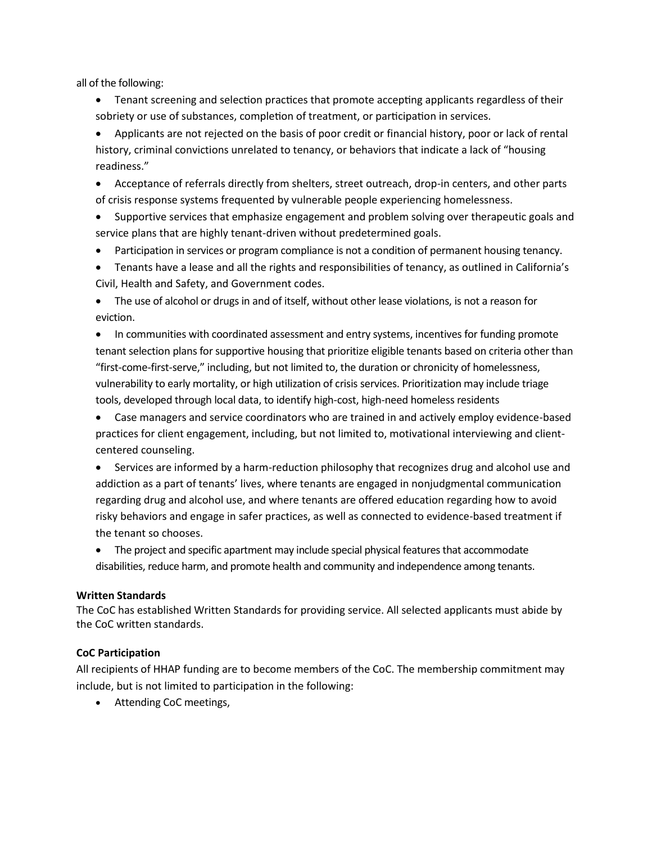all of the following:

- Tenant screening and selection practices that promote accepting applicants regardless of their sobriety or use of substances, completion of treatment, or participation in services.
- Applicants are not rejected on the basis of poor credit or financial history, poor or lack of rental history, criminal convictions unrelated to tenancy, or behaviors that indicate a lack of "housing readiness."
- Acceptance of referrals directly from shelters, street outreach, drop-in centers, and other parts of crisis response systems frequented by vulnerable people experiencing homelessness.
- Supportive services that emphasize engagement and problem solving over therapeutic goals and service plans that are highly tenant-driven without predetermined goals.
- Participation in services or program compliance is not a condition of permanent housing tenancy.
- Tenants have a lease and all the rights and responsibilities of tenancy, as outlined in California's Civil, Health and Safety, and Government codes.
- The use of alcohol or drugs in and of itself, without other lease violations, is not a reason for eviction.
- In communities with coordinated assessment and entry systems, incentives for funding promote tenant selection plans for supportive housing that prioritize eligible tenants based on criteria other than "first-come-first-serve," including, but not limited to, the duration or chronicity of homelessness, vulnerability to early mortality, or high utilization of crisis services. Prioritization may include triage tools, developed through local data, to identify high-cost, high-need homeless residents
- Case managers and service coordinators who are trained in and actively employ evidence-based practices for client engagement, including, but not limited to, motivational interviewing and clientcentered counseling.
- Services are informed by a harm-reduction philosophy that recognizes drug and alcohol use and addiction as a part of tenants' lives, where tenants are engaged in nonjudgmental communication regarding drug and alcohol use, and where tenants are offered education regarding how to avoid risky behaviors and engage in safer practices, as well as connected to evidence-based treatment if the tenant so chooses.
- The project and specific apartment may include special physical features that accommodate disabilities, reduce harm, and promote health and community and independence among tenants.

#### **Written Standards**

The CoC has established Written Standards for providing service. All selected applicants must abide by the CoC written standards.

#### **CoC Participation**

All recipients of HHAP funding are to become members of the CoC. The membership commitment may include, but is not limited to participation in the following:

• Attending CoC meetings,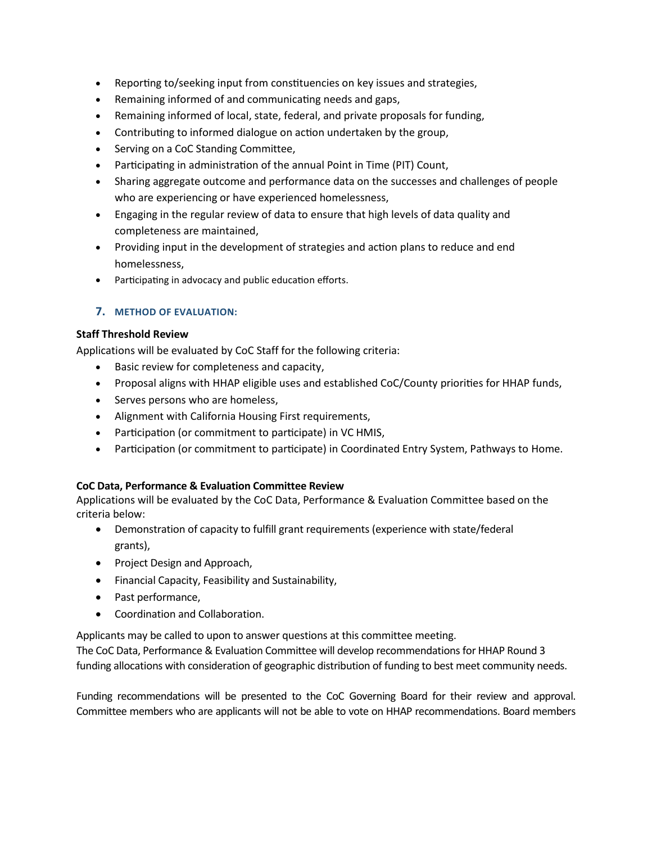- Reporting to/seeking input from constituencies on key issues and strategies,
- Remaining informed of and communicating needs and gaps,
- Remaining informed of local, state, federal, and private proposals for funding,
- Contributing to informed dialogue on action undertaken by the group,
- Serving on a CoC Standing Committee,
- Participating in administration of the annual Point in Time (PIT) Count,
- Sharing aggregate outcome and performance data on the successes and challenges of people who are experiencing or have experienced homelessness,
- Engaging in the regular review of data to ensure that high levels of data quality and completeness are maintained,
- Providing input in the development of strategies and action plans to reduce and end homelessness,
- Participating in advocacy and public education efforts.

## **7. METHOD OF EVALUATION:**

## **Staff Threshold Review**

Applications will be evaluated by CoC Staff for the following criteria:

- Basic review for completeness and capacity,
- Proposal aligns with HHAP eligible uses and established CoC/County priorities for HHAP funds,
- Serves persons who are homeless,
- Alignment with California Housing First requirements,
- Participation (or commitment to participate) in VC HMIS,
- Participation (or commitment to participate) in Coordinated Entry System, Pathways to Home.

## **CoC Data, Performance & Evaluation Committee Review**

Applications will be evaluated by the CoC Data, Performance & Evaluation Committee based on the criteria below:

- Demonstration of capacity to fulfill grant requirements (experience with state/federal grants),
- Project Design and Approach,
- Financial Capacity, Feasibility and Sustainability,
- Past performance,
- Coordination and Collaboration.

Applicants may be called to upon to answer questions at this committee meeting.

The CoC Data, Performance & Evaluation Committee will develop recommendations for HHAP Round 3 funding allocations with consideration of geographic distribution of funding to best meet community needs.

Funding recommendations will be presented to the CoC Governing Board for their review and approval. Committee members who are applicants will not be able to vote on HHAP recommendations. Board members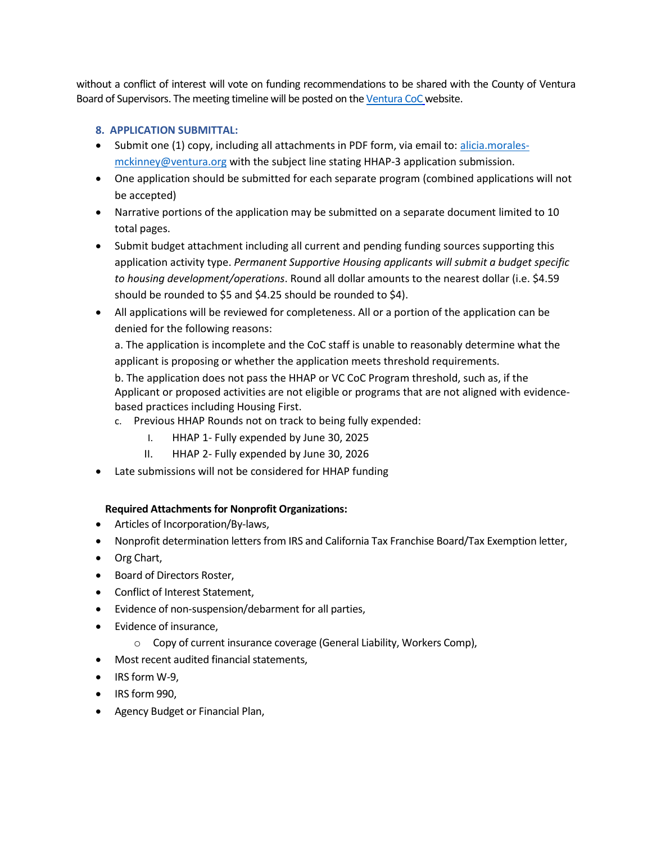without a conflict of interest will vote on funding recommendations to be shared with the County of Ventura Board of Supervisors. The meeting timeline will be posted on th[e Ventura CoC](https://www.venturacoc.org/) website.

## **8. APPLICATION SUBMITTAL:**

- Submit one (1) copy, including all attachments in PDF form, via email to: [alicia.morales](mailto:alicia.morales-mckinney@ventura.org)[mckinney@ventura.org](mailto:alicia.morales-mckinney@ventura.org) with the subject line stating HHAP-3 application submission.
- One application should be submitted for each separate program (combined applications will not be accepted)
- Narrative portions of the application may be submitted on a separate document limited to 10 total pages.
- Submit budget attachment including all current and pending funding sources supporting this application activity type. *Permanent Supportive Housing applicants will submit a budget specific to housing development/operations*. Round all dollar amounts to the nearest dollar (i.e. \$4.59 should be rounded to \$5 and \$4.25 should be rounded to \$4).
- All applications will be reviewed for completeness. All or a portion of the application can be denied for the following reasons:

a. The application is incomplete and the CoC staff is unable to reasonably determine what the applicant is proposing or whether the application meets threshold requirements. b. The application does not pass the HHAP or VC CoC Program threshold, such as, if the Applicant or proposed activities are not eligible or programs that are not aligned with evidencebased practices including Housing First.

- c. Previous HHAP Rounds not on track to being fully expended:
	- I. HHAP 1- Fully expended by June 30, 2025
	- II. HHAP 2- Fully expended by June 30, 2026
- Late submissions will not be considered for HHAP funding

## **Required Attachments for Nonprofit Organizations:**

- Articles of Incorporation/By-laws,
- Nonprofit determination letters from IRS and California Tax Franchise Board/Tax Exemption letter,
- Org Chart,
- Board of Directors Roster,
- Conflict of Interest Statement,
- Evidence of non-suspension/debarment for all parties,
- Evidence of insurance,
	- o Copy of current insurance coverage (General Liability, Workers Comp),
- Most recent audited financial statements,
- IRS form W-9,
- IRS form 990,
- Agency Budget or Financial Plan,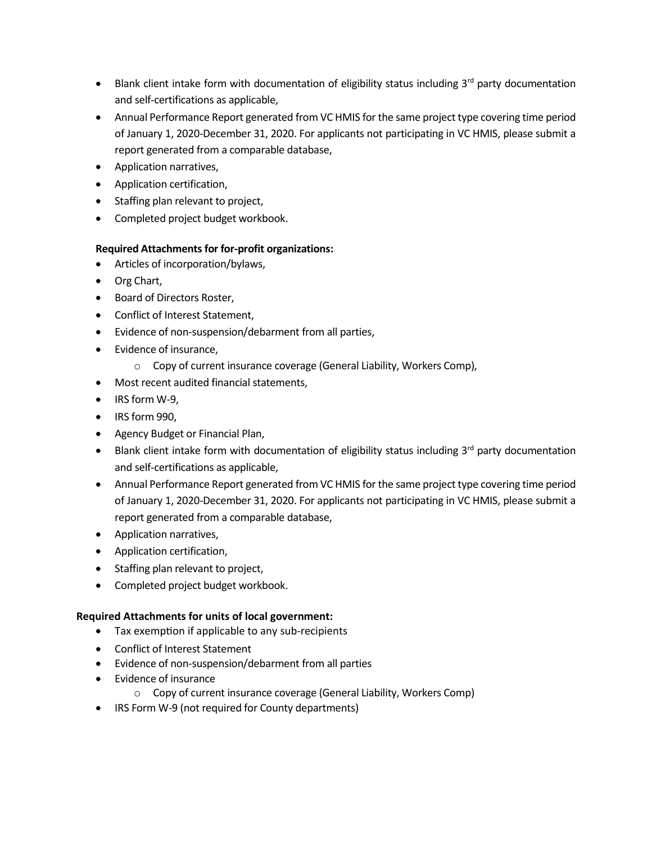- Blank client intake form with documentation of eligibility status including  $3^{rd}$  party documentation and self-certifications as applicable,
- Annual Performance Report generated from VC HMIS for the same project type covering time period of January 1, 2020-December 31, 2020. For applicants not participating in VC HMIS, please submit a report generated from a comparable database,
- Application narratives,
- Application certification,
- Staffing plan relevant to project,
- Completed project budget workbook.

## **Required Attachments for for-profit organizations:**

- Articles of incorporation/bylaws,
- Org Chart,
- Board of Directors Roster,
- Conflict of Interest Statement,
- Evidence of non-suspension/debarment from all parties,
- Evidence of insurance,
	- o Copy of current insurance coverage (General Liability, Workers Comp),
- Most recent audited financial statements,
- IRS form W-9,
- IRS form 990,
- Agency Budget or Financial Plan,
- Blank client intake form with documentation of eligibility status including  $3^{rd}$  party documentation and self-certifications as applicable,
- Annual Performance Report generated from VC HMIS for the same project type covering time period of January 1, 2020-December 31, 2020. For applicants not participating in VC HMIS, please submit a report generated from a comparable database,
- Application narratives,
- Application certification,
- Staffing plan relevant to project,
- Completed project budget workbook.

## **Required Attachments for units of local government:**

- Tax exemption if applicable to any sub-recipients
- Conflict of Interest Statement
- Evidence of non-suspension/debarment from all parties
- Evidence of insurance
	- o Copy of current insurance coverage (General Liability, Workers Comp)
- IRS Form W-9 (not required for County departments)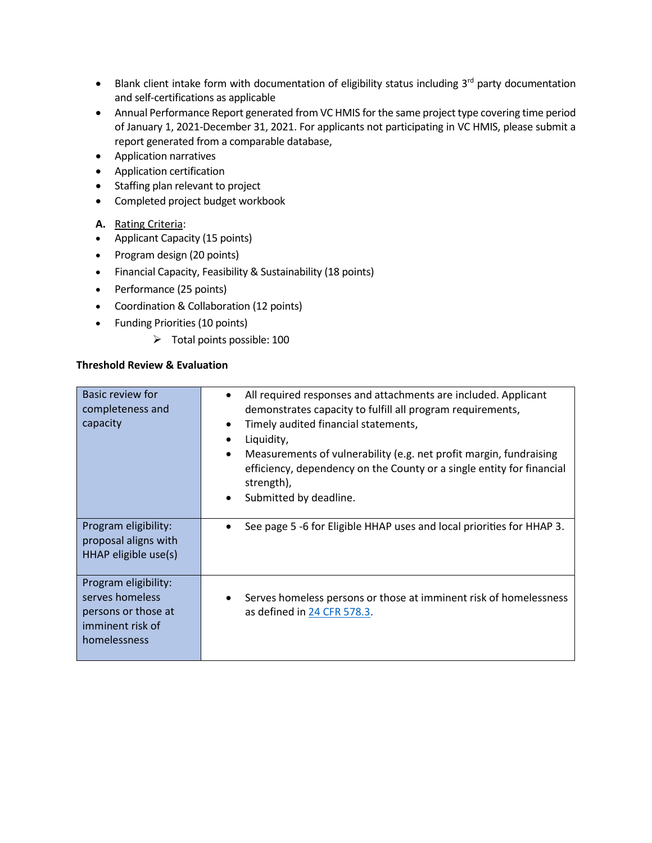- Blank client intake form with documentation of eligibility status including  $3^{rd}$  party documentation and self-certifications as applicable
- Annual Performance Report generated from VC HMIS for the same project type covering time period of January 1, 2021-December 31, 2021. For applicants not participating in VC HMIS, please submit a report generated from a comparable database,
- Application narratives
- Application certification
- Staffing plan relevant to project
- Completed project budget workbook
- **A.** Rating Criteria:
- Applicant Capacity (15 points)
- Program design (20 points)
- Financial Capacity, Feasibility & Sustainability (18 points)
- Performance (25 points)
- Coordination & Collaboration (12 points)
- Funding Priorities (10 points)
	- ➢ Total points possible: 100

## **Threshold Review & Evaluation**

| Basic review for<br>completeness and<br>capacity                                                   | All required responses and attachments are included. Applicant<br>demonstrates capacity to fulfill all program requirements,<br>Timely audited financial statements,<br>Liquidity,<br>$\bullet$<br>Measurements of vulnerability (e.g. net profit margin, fundraising<br>$\bullet$<br>efficiency, dependency on the County or a single entity for financial<br>strength),<br>Submitted by deadline.<br>$\bullet$ |
|----------------------------------------------------------------------------------------------------|------------------------------------------------------------------------------------------------------------------------------------------------------------------------------------------------------------------------------------------------------------------------------------------------------------------------------------------------------------------------------------------------------------------|
| Program eligibility:<br>proposal aligns with<br>HHAP eligible use(s)                               | See page 5 -6 for Eligible HHAP uses and local priorities for HHAP 3.                                                                                                                                                                                                                                                                                                                                            |
| Program eligibility:<br>serves homeless<br>persons or those at<br>imminent risk of<br>homelessness | Serves homeless persons or those at imminent risk of homelessness<br>as defined in 24 CFR 578.3.                                                                                                                                                                                                                                                                                                                 |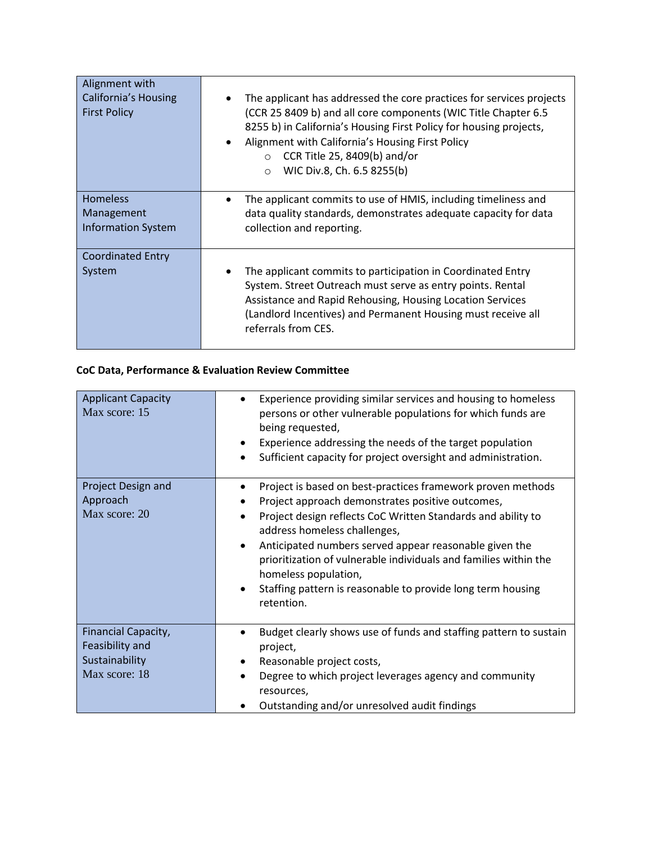| Alignment with<br><b>California's Housing</b><br><b>First Policy</b> | The applicant has addressed the core practices for services projects<br>(CCR 25 8409 b) and all core components (WIC Title Chapter 6.5<br>8255 b) in California's Housing First Policy for housing projects,<br>Alignment with California's Housing First Policy<br>$\bullet$<br>$\circ$ CCR Title 25, 8409(b) and/or<br>WIC Div.8, Ch. 6.5 8255(b)<br>$\circ$ |
|----------------------------------------------------------------------|----------------------------------------------------------------------------------------------------------------------------------------------------------------------------------------------------------------------------------------------------------------------------------------------------------------------------------------------------------------|
| <b>Homeless</b><br>Management<br><b>Information System</b>           | The applicant commits to use of HMIS, including timeliness and<br>data quality standards, demonstrates adequate capacity for data<br>collection and reporting.                                                                                                                                                                                                 |
| <b>Coordinated Entry</b><br>System                                   | The applicant commits to participation in Coordinated Entry<br>System. Street Outreach must serve as entry points. Rental<br>Assistance and Rapid Rehousing, Housing Location Services<br>(Landlord Incentives) and Permanent Housing must receive all<br>referrals from CES.                                                                                  |

## **CoC Data, Performance & Evaluation Review Committee**

| <b>Applicant Capacity</b><br>Max score: 15                                | Experience providing similar services and housing to homeless<br>persons or other vulnerable populations for which funds are<br>being requested,<br>Experience addressing the needs of the target population<br>$\bullet$<br>Sufficient capacity for project oversight and administration.                                                                                                                                                                      |
|---------------------------------------------------------------------------|-----------------------------------------------------------------------------------------------------------------------------------------------------------------------------------------------------------------------------------------------------------------------------------------------------------------------------------------------------------------------------------------------------------------------------------------------------------------|
| Project Design and<br>Approach<br>Max score: 20                           | Project is based on best-practices framework proven methods<br>Project approach demonstrates positive outcomes,<br>Project design reflects CoC Written Standards and ability to<br>address homeless challenges,<br>Anticipated numbers served appear reasonable given the<br>prioritization of vulnerable individuals and families within the<br>homeless population,<br>Staffing pattern is reasonable to provide long term housing<br>$\bullet$<br>retention. |
| Financial Capacity,<br>Feasibility and<br>Sustainability<br>Max score: 18 | Budget clearly shows use of funds and staffing pattern to sustain<br>٠<br>project,<br>Reasonable project costs,<br>$\bullet$<br>Degree to which project leverages agency and community<br>resources,<br>Outstanding and/or unresolved audit findings                                                                                                                                                                                                            |